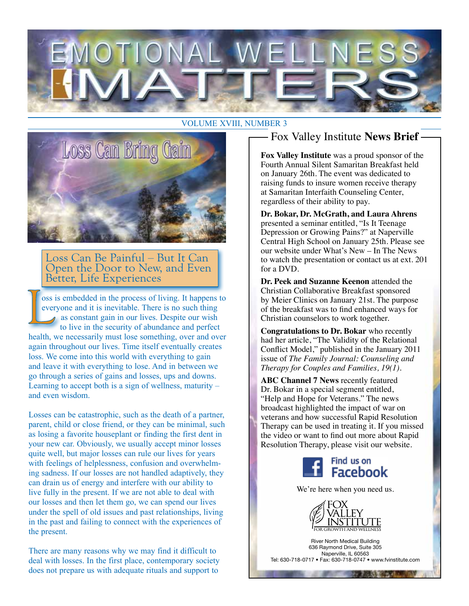

#### VOLUME XVIII, NUMBER 3



Loss Can Be Painful – But It Can Open the Door to New, and Even Better, Life Experiences

oss is embedded in the process of living. It happens to everyone and it is inevitable. There is no such thing as constant gain in our lives. Despite our wish to live in the security of abundance and perfect health, we necessarily must lose something, over and over again throughout our lives. Time itself eventually creates loss. We come into this world with everything to gain and leave it with everything to lose. And in between we go through a series of gains and losses, ups and downs. Learning to accept both is a sign of wellness, maturity – and even wisdom.

Losses can be catastrophic, such as the death of a partner, parent, child or close friend, or they can be minimal, such as losing a favorite houseplant or finding the first dent in your new car. Obviously, we usually accept minor losses quite well, but major losses can rule our lives for years with feelings of helplessness, confusion and overwhelming sadness. If our losses are not handled adaptively, they can drain us of energy and interfere with our ability to live fully in the present. If we are not able to deal with our losses and then let them go, we can spend our lives under the spell of old issues and past relationships, living in the past and failing to connect with the experiences of the present.

There are many reasons why we may find it difficult to deal with losses. In the first place, contemporary society does not prepare us with adequate rituals and support to

## Fox Valley Institute **News Brief**

**Fox Valley Institute** was a proud sponsor of the Fourth Annual Silent Samaritan Breakfast held on January 26th. The event was dedicated to raising funds to insure women receive therapy at Samaritan Interfaith Counseling Center, regardless of their ability to pay.

**Dr. Bokar, Dr. McGrath, and Laura Ahrens** presented a seminar entitled, "Is It Teenage Depression or Growing Pains?" at Naperville Central High School on January 25th. Please see our website under What's New – In The News to watch the presentation or contact us at ext. 201 for a DVD.

**Dr. Peek and Suzanne Keenon** attended the Christian Collaborative Breakfast sponsored by Meier Clinics on January 21st. The purpose of the breakfast was to find enhanced ways for Christian counselors to work together.

**Congratulations to Dr. Bokar** who recently had her article, "The Validity of the Relational Conflict Model," published in the January 2011 issue of *The Family Journal: Counseling and Therapy for Couples and Families, 19(1).*

**ABC Channel 7 News** recently featured Dr. Bokar in a special segment entitled, "Help and Hope for Veterans." The news broadcast highlighted the impact of war on veterans and how successful Rapid Resolution Therapy can be used in treating it. If you missed the video or want to find out more about Rapid Resolution Therapy, please visit our website.



We're here when you need us.



River North Medical Building 636 Raymond Drive, Suite 305 Naperville, IL 60563 Tel: 630-718-0717 • Fax: 630-718-0747 • www.fvinstitute.com

*SALES BALLEY IN*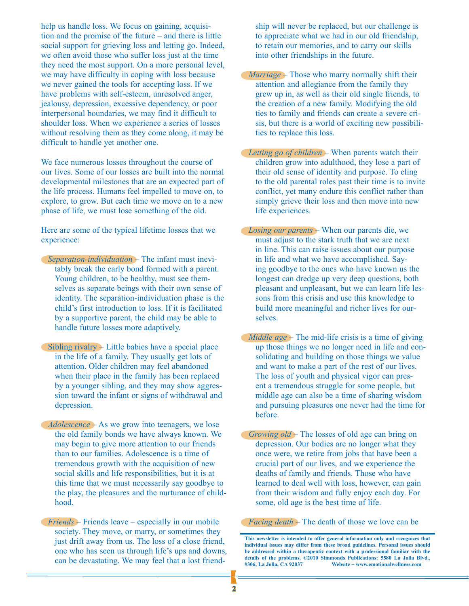help us handle loss. We focus on gaining, acquisition and the promise of the future – and there is little social support for grieving loss and letting go. Indeed, we often avoid those who suffer loss just at the time they need the most support. On a more personal level, we may have difficulty in coping with loss because we never gained the tools for accepting loss. If we have problems with self-esteem, unresolved anger, jealousy, depression, excessive dependency, or poor interpersonal boundaries, we may find it difficult to shoulder loss. When we experience a series of losses without resolving them as they come along, it may be difficult to handle yet another one.

We face numerous losses throughout the course of our lives. Some of our losses are built into the normal developmental milestones that are an expected part of the life process. Humans feel impelled to move on, to explore, to grow. But each time we move on to a new phase of life, we must lose something of the old.

Here are some of the typical lifetime losses that we experience:

- *Separation-individuation* The infant must inevitably break the early bond formed with a parent. Young children, to be healthy, must see themselves as separate beings with their own sense of identity. The separation-individuation phase is the child's first introduction to loss. If it is facilitated by a supportive parent, the child may be able to handle future losses more adaptively.
- Sibling rivalry Little babies have a special place in the life of a family. They usually get lots of attention. Older children may feel abandoned when their place in the family has been replaced by a younger sibling, and they may show aggression toward the infant or signs of withdrawal and depression.
- *Adolescence* As we grow into teenagers, we lose the old family bonds we have always known. We may begin to give more attention to our friends than to our families. Adolescence is a time of tremendous growth with the acquisition of new social skills and life responsibilities, but it is at this time that we must necessarily say goodbye to the play, the pleasures and the nurturance of childhood.
- *Friends* Friends leave especially in our mobile society. They move, or marry, or sometimes they just drift away from us. The loss of a close friend, one who has seen us through life's ups and downs, can be devastating. We may feel that a lost friend-

ship will never be replaced, but our challenge is to appreciate what we had in our old friendship, to retain our memories, and to carry our skills into other friendships in the future.

- *Marriage* Those who marry normally shift their attention and allegiance from the family they grew up in, as well as their old single friends, to the creation of a new family. Modifying the old ties to family and friends can create a severe crisis, but there is a world of exciting new possibilities to replace this loss.
- *Letting go of children* When parents watch their children grow into adulthood, they lose a part of their old sense of identity and purpose. To cling to the old parental roles past their time is to invite conflict, yet many endure this conflict rather than simply grieve their loss and then move into new life experiences.
- *Losing our parents* When our parents die, we must adjust to the stark truth that we are next in line. This can raise issues about our purpose in life and what we have accomplished. Saying goodbye to the ones who have known us the longest can dredge up very deep questions, both pleasant and unpleasant, but we can learn life lessons from this crisis and use this knowledge to build more meaningful and richer lives for ourselves.
- *Middle age* The mid-life crisis is a time of giving up those things we no longer need in life and consolidating and building on those things we value and want to make a part of the rest of our lives. The loss of youth and physical vigor can present a tremendous struggle for some people, but middle age can also be a time of sharing wisdom and pursuing pleasures one never had the time for before.
- *Growing old* The losses of old age can bring on depression. Our bodies are no longer what they once were, we retire from jobs that have been a crucial part of our lives, and we experience the deaths of family and friends. Those who have learned to deal well with loss, however, can gain from their wisdom and fully enjoy each day. For some, old age is the best time of life.

*Facing death* – The death of those we love can be

**This newsletter is intended to offer general information only and recognizes that individual issues may differ from these broad guidelines. Personal issues should be addressed within a therapeutic context with a professional familiar with the details of the problems. ©2010 Simmonds Publications: 5580 La Jolla Blvd., #306, La Jolla, CA 92037 Website ~ www.emotionalwellness.com**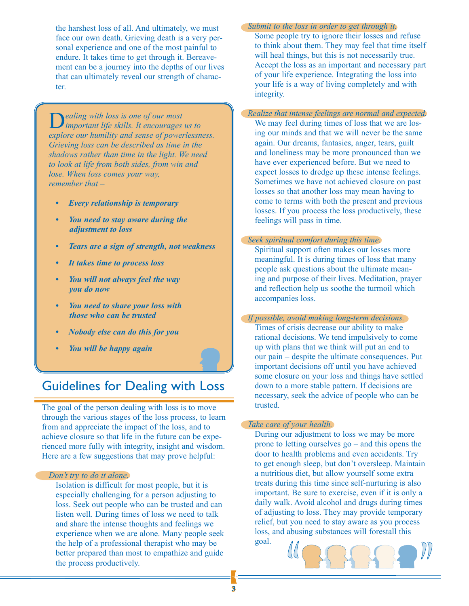the harshest loss of all. And ultimately, we must face our own death. Grieving death is a very personal experience and one of the most painful to endure. It takes time to get through it. Bereavement can be a journey into the depths of our lives that can ultimately reveal our strength of character.

D*ealing with loss is one of our most important life skills. It encourages us to explore our humility and sense of powerlessness. Grieving loss can be described as time in the shadows rather than time in the light. We need to look at life from both sides, from win and lose. When loss comes your way, remember that –* 

- *Every relationship is temporary*
- *• You need to stay aware during the adjustment to loss*
- *• Tears are a sign of strength, not weakness*
- *• It takes time to process loss*
- *• You will not always feel the way you do now*
- *• You need to share your loss with those who can be trusted*
- *• Nobody else can do this for you*
- *• You will be happy again*

### Guidelines for Dealing with Loss

The goal of the person dealing with loss is to move through the various stages of the loss process, to learn from and appreciate the impact of the loss, and to achieve closure so that life in the future can be experienced more fully with integrity, insight and wisdom. Here are a few suggestions that may prove helpful:

#### *Don't try to do it alone.*

Isolation is difficult for most people, but it is especially challenging for a person adjusting to loss. Seek out people who can be trusted and can listen well. During times of loss we need to talk and share the intense thoughts and feelings we experience when we are alone. Many people seek the help of a professional therapist who may be better prepared than most to empathize and guide the process productively.

*Submit to the loss in order to get through it.* Some people try to ignore their losses and refuse to think about them. They may feel that time itself will heal things, but this is not necessarily true. Accept the loss as an important and necessary part of your life experience. Integrating the loss into your life is a way of living completely and with integrity.

*Realize that intense feelings are normal and expected.* We may feel during times of loss that we are losing our minds and that we will never be the same again. Our dreams, fantasies, anger, tears, guilt and loneliness may be more pronounced than we have ever experienced before. But we need to expect losses to dredge up these intense feelings. Sometimes we have not achieved closure on past losses so that another loss may mean having to come to terms with both the present and previous losses. If you process the loss productively, these

#### *Seek spiritual comfort during this time.*

feelings will pass in time.

Spiritual support often makes our losses more meaningful. It is during times of loss that many people ask questions about the ultimate meaning and purpose of their lives. Meditation, prayer and reflection help us soothe the turmoil which accompanies loss.

*If possible, avoid making long-term decisions.* 

Times of crisis decrease our ability to make rational decisions. We tend impulsively to come up with plans that we think will put an end to our pain – despite the ultimate consequences. Put important decisions off until you have achieved some closure on your loss and things have settled down to a more stable pattern. If decisions are necessary, seek the advice of people who can be trusted.

#### *Take care of your health.*

During our adjustment to loss we may be more prone to letting ourselves go – and this opens the door to health problems and even accidents. Try to get enough sleep, but don't oversleep. Maintain a nutritious diet, but allow yourself some extra treats during this time since self-nurturing is also important. Be sure to exercise, even if it is only a daily walk. Avoid alcohol and drugs during times of adjusting to loss. They may provide temporary relief, but you need to stay aware as you process loss, and abusing substances will forestall this goal.